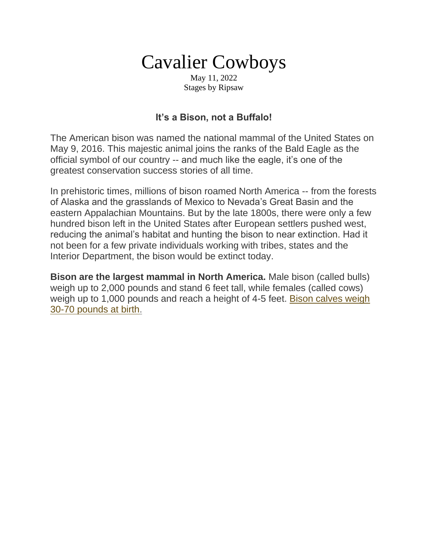# Cavalier Cowboys

May 11, 2022 Stages by Ripsaw

### **It's a Bison, not a Buffalo!**

The American bison was named the national mammal of the United States on May 9, 2016. This majestic animal joins the ranks of the Bald Eagle as the official symbol of our country -- and much like the eagle, it's one of the greatest conservation success stories of all time.

In prehistoric times, millions of bison roamed North America -- from the forests of Alaska and the grasslands of Mexico to Nevada's Great Basin and the eastern Appalachian Mountains. But by the late 1800s, there were only a few hundred bison left in the United States after European settlers pushed west, reducing the animal's habitat and hunting the bison to near extinction. Had it not been for a few private individuals working with tribes, states and the Interior Department, the bison would be extinct today.

**Bison are the largest mammal in North America.** Male bison (called bulls) weigh up to 2,000 pounds and stand 6 feet tall, while females (called cows) weigh up to 1,000 pounds and reach a height of 4-5 feet. [Bison calves weigh](https://www.nps.gov/wica/learn/nature/bison-buffalo.htm)  [30-70 pounds at birth](https://www.nps.gov/wica/learn/nature/bison-buffalo.htm)[.](https://www.nps.gov/subjects/bison/index.htm)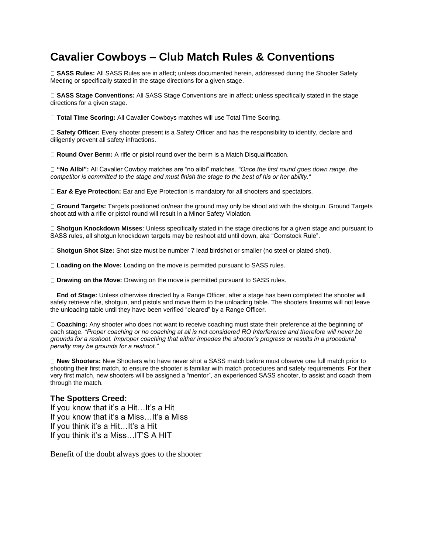## **Cavalier Cowboys – Club Match Rules & Conventions**

**SASS Rules:** All SASS Rules are in affect; unless documented herein, addressed during the Shooter Safety Meeting or specifically stated in the stage directions for a given stage.

**SASS Stage Conventions:** All SASS Stage Conventions are in affect; unless specifically stated in the stage directions for a given stage.

**Total Time Scoring:** All Cavalier Cowboys matches will use Total Time Scoring.

**Safety Officer:** Every shooter present is a Safety Officer and has the responsibility to identify, declare and diligently prevent all safety infractions.

□ **Round Over Berm:** A rifle or pistol round over the berm is a Match Disqualification.

**"No Alibi":** All Cavalier Cowboy matches are "no alibi" matches. *"Once the first round goes down range, the competitor is committed to the stage and must finish the stage to the best of his or her ability."* 

**Ear & Eye Protection:** Ear and Eye Protection is mandatory for all shooters and spectators.

**Ground Targets:** Targets positioned on/near the ground may only be shoot atd with the shotgun. Ground Targets shoot atd with a rifle or pistol round will result in a Minor Safety Violation.

**Shotgun Knockdown Misses**: Unless specifically stated in the stage directions for a given stage and pursuant to SASS rules, all shotgun knockdown targets may be reshoot atd until down, aka "Comstock Rule".

**Shotgun Shot Size:** Shot size must be number 7 lead birdshot or smaller (no steel or plated shot).

**Loading on the Move:** Loading on the move is permitted pursuant to SASS rules.

**Drawing on the Move:** Drawing on the move is permitted pursuant to SASS rules.

**End of Stage:** Unless otherwise directed by a Range Officer, after a stage has been completed the shooter will safely retrieve rifle, shotgun, and pistols and move them to the unloading table. The shooters firearms will not leave the unloading table until they have been verified "cleared" by a Range Officer.

**Coaching:** Any shooter who does not want to receive coaching must state their preference at the beginning of each stage. *"Proper coaching or no coaching at all is not considered RO Interference and therefore will never be grounds for a reshoot. Improper coaching that either impedes the shooter's progress or results in a procedural penalty may be grounds for a reshoot."* 

**New Shooters:** New Shooters who have never shot a SASS match before must observe one full match prior to shooting their first match, to ensure the shooter is familiar with match procedures and safety requirements. For their very first match, new shooters will be assigned a "mentor", an experienced SASS shooter, to assist and coach them through the match.

#### **The Spotters Creed:**

If you know that it's a Hit…It's a Hit If you know that it's a Miss…It's a Miss If you think it's a Hit…It's a Hit If you think it's a Miss…IT'S A HIT

Benefit of the doubt always goes to the shooter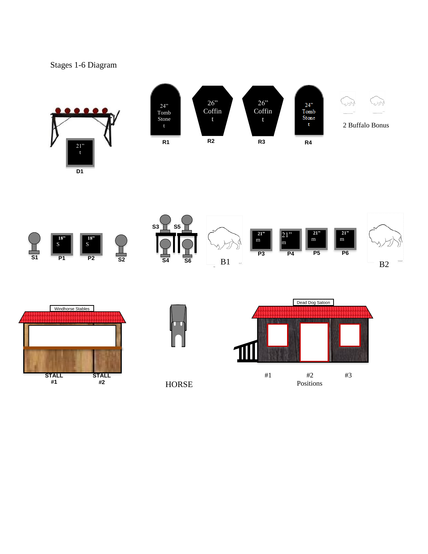## Stages 1-6 Diagram



HORSE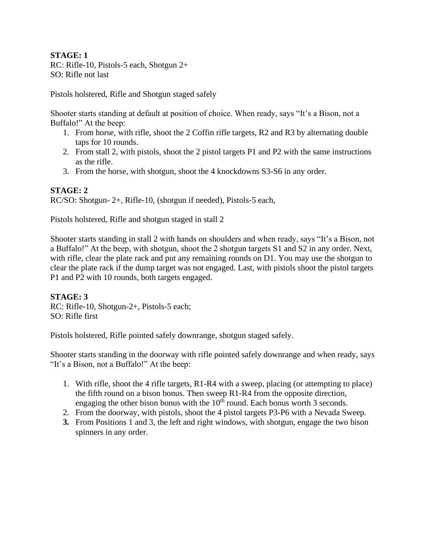**STAGE: 1**  RC: Rifle-10, Pistols-5 each, Shotgun 2+ SO: Rifle not last

Pistols holstered, Rifle and Shotgun staged safely

Shooter starts standing at default at position of choice. When ready, says "It's a Bison, not a Buffalo!" At the beep:

- 1. From horse, with rifle, shoot the 2 Coffin rifle targets, R2 and R3 by alternating double taps for 10 rounds.
- 2. From stall 2, with pistols, shoot the 2 pistol targets P1 and P2 with the same instructions as the rifle.
- 3. From the horse, with shotgun, shoot the 4 knockdowns S3-S6 in any order.

#### **STAGE: 2**

RC/SO: Shotgun- 2+, Rifle-10, (shotgun if needed), Pistols-5 each,

Pistols holstered, Rifle and shotgun staged in stall 2

Shooter starts standing in stall 2 with hands on shoulders and when ready, says "It's a Bison, not a Buffalo!" At the beep, with shotgun, shoot the 2 shotgun targets S1 and S2 in any order. Next, with rifle, clear the plate rack and put any remaining rounds on D1. You may use the shotgun to clear the plate rack if the dump target was not engaged. Last, with pistols shoot the pistol targets P1 and P2 with 10 rounds, both targets engaged.

#### **STAGE: 3**

RC: Rifle-10, Shotgun-2+, Pistols-5 each; SO: Rifle first

Pistols holstered, Rifle pointed safely downrange, shotgun staged safely.

Shooter starts standing in the doorway with rifle pointed safely downrange and when ready, says "It's a Bison, not a Buffalo!" At the beep:

- 1. With rifle, shoot the 4 rifle targets, R1-R4 with a sweep, placing (or attempting to place) the fifth round on a bison bonus. Then sweep R1-R4 from the opposite direction, engaging the other bison bonus with the  $10<sup>th</sup>$  round. Each bonus worth 3 seconds.
- 2. From the doorway, with pistols, shoot the 4 pistol targets P3-P6 with a Nevada Sweep.
- **3.** From Positions 1 and 3, the left and right windows, with shotgun, engage the two bison spinners in any order.